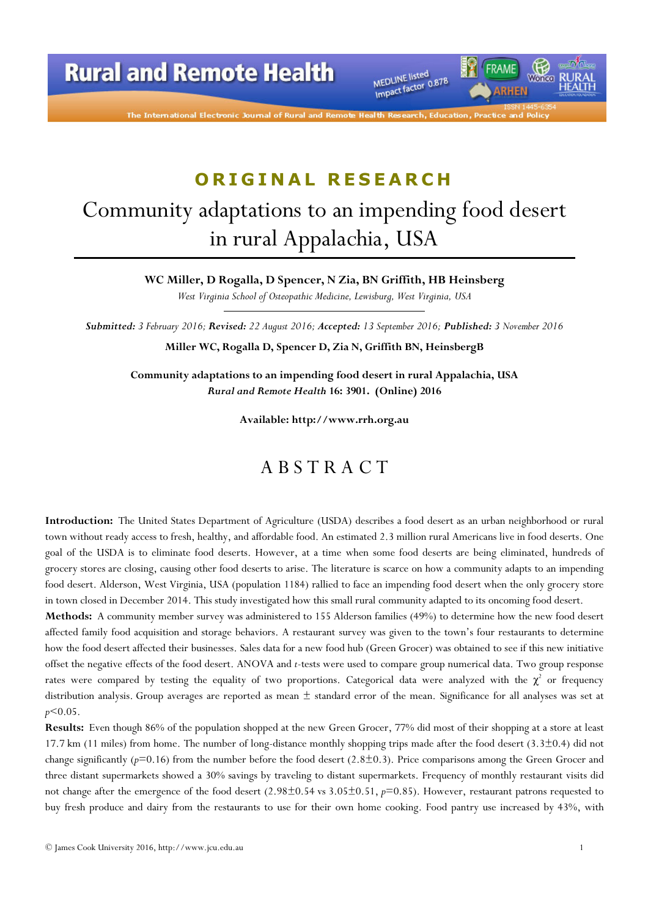The International Electronic Journal of Rural and

MEDLINE listed MEDLINE listed<br>Impact factor 0.878 FRAME

# ORIGINAL RESEARCH

# Community adaptations to an impending food desert in rural Appalachia, USA

WC Miller, D Rogalla, D Spencer, N Zia, BN Griffith, HB Heinsberg

West Virginia School of Osteopathic Medicine, Lewisburg, West Virginia, USA

Submitted: 3 February 2016; Revised: 22 August 2016; Accepted: 13 September 2016; Published: 3 November 2016 Miller WC, Rogalla D, Spencer D, Zia N, Griffith BN, HeinsbergB

Community adaptations to an impending food desert in rural Appalachia, USA Rural and Remote Health 16: 3901. (Online) 2016

Available: http://www.rrh.org.au

#### A B S T R A C T

Introduction: The United States Department of Agriculture (USDA) describes a food desert as an urban neighborhood or rural town without ready access to fresh, healthy, and affordable food. An estimated 2.3 million rural Americans live in food deserts. One goal of the USDA is to eliminate food deserts. However, at a time when some food deserts are being eliminated, hundreds of grocery stores are closing, causing other food deserts to arise. The literature is scarce on how a community adapts to an impending food desert. Alderson, West Virginia, USA (population 1184) rallied to face an impending food desert when the only grocery store in town closed in December 2014. This study investigated how this small rural community adapted to its oncoming food desert.

Methods: A community member survey was administered to 155 Alderson families (49%) to determine how the new food desert affected family food acquisition and storage behaviors. A restaurant survey was given to the town's four restaurants to determine how the food desert affected their businesses. Sales data for a new food hub (Green Grocer) was obtained to see if this new initiative offset the negative effects of the food desert. ANOVA and t-tests were used to compare group numerical data. Two group response rates were compared by testing the equality of two proportions. Categorical data were analyzed with the  $\chi^2$  or frequency distribution analysis. Group averages are reported as mean  $\pm$  standard error of the mean. Significance for all analyses was set at  $p$ <0.05.

Results: Even though 86% of the population shopped at the new Green Grocer, 77% did most of their shopping at a store at least 17.7 km (11 miles) from home. The number of long-distance monthly shopping trips made after the food desert (3.3±0.4) did not change significantly ( $p=0.16$ ) from the number before the food desert (2.8 $\pm$ 0.3). Price comparisons among the Green Grocer and three distant supermarkets showed a 30% savings by traveling to distant supermarkets. Frequency of monthly restaurant visits did not change after the emergence of the food desert  $(2.98\pm0.54 \text{ vs } 3.05\pm0.51, p=0.85)$ . However, restaurant patrons requested to buy fresh produce and dairy from the restaurants to use for their own home cooking. Food pantry use increased by 43%, with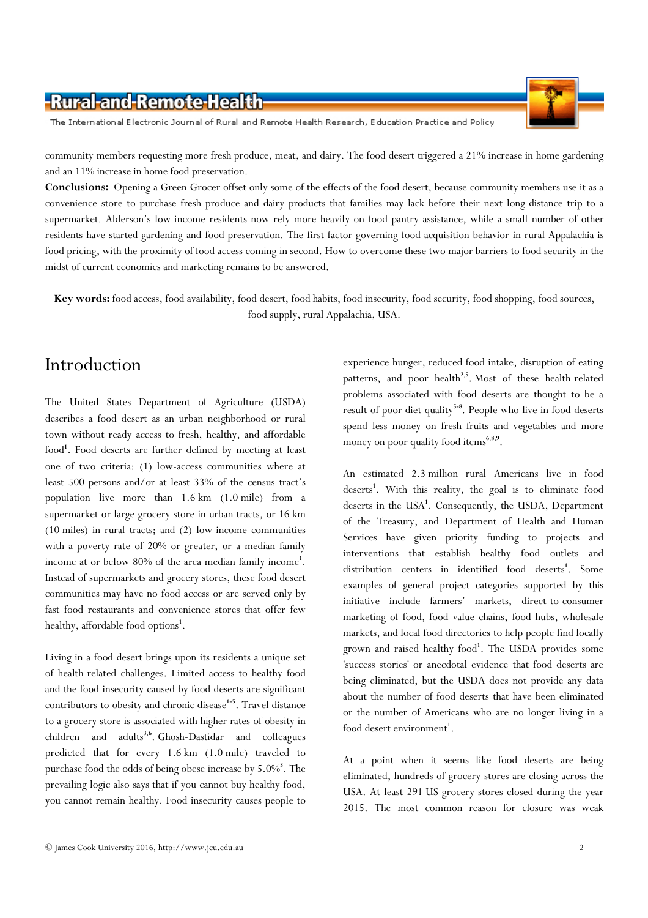The International Electronic Journal of Rural and Remote Health Research, Education Practice and Policy

community members requesting more fresh produce, meat, and dairy. The food desert triggered a 21% increase in home gardening and an 11% increase in home food preservation.

Conclusions: Opening a Green Grocer offset only some of the effects of the food desert, because community members use it as a convenience store to purchase fresh produce and dairy products that families may lack before their next long-distance trip to a supermarket. Alderson's low-income residents now rely more heavily on food pantry assistance, while a small number of other residents have started gardening and food preservation. The first factor governing food acquisition behavior in rural Appalachia is food pricing, with the proximity of food access coming in second. How to overcome these two major barriers to food security in the midst of current economics and marketing remains to be answered.

Key words: food access, food availability, food desert, food habits, food insecurity, food security, food shopping, food sources, food supply, rural Appalachia, USA.

#### Introduction

The United States Department of Agriculture (USDA) describes a food desert as an urban neighborhood or rural town without ready access to fresh, healthy, and affordable food<sup>1</sup>. Food deserts are further defined by meeting at least one of two criteria: (1) low-access communities where at least 500 persons and/or at least 33% of the census tract's population live more than 1.6 km (1.0 mile) from a supermarket or large grocery store in urban tracts, or 16 km (10 miles) in rural tracts; and (2) low-income communities with a poverty rate of 20% or greater, or a median family income at or below 80% of the area median family income<sup>1</sup>. Instead of supermarkets and grocery stores, these food desert communities may have no food access or are served only by fast food restaurants and convenience stores that offer few healthy, affordable food options<sup>1</sup>.

Living in a food desert brings upon its residents a unique set of health-related challenges. Limited access to healthy food and the food insecurity caused by food deserts are significant contributors to obesity and chronic disease<sup>1-5</sup>. Travel distance to a grocery store is associated with higher rates of obesity in children and adults<sup>3,6</sup>. Ghosh-Dastidar and colleagues predicted that for every 1.6 km (1.0 mile) traveled to purchase food the odds of being obese increase by  $5.0\%$ <sup>3</sup>. The prevailing logic also says that if you cannot buy healthy food, you cannot remain healthy. Food insecurity causes people to

experience hunger, reduced food intake, disruption of eating patterns, and poor health<sup>2,5</sup>. Most of these health-related problems associated with food deserts are thought to be a result of poor diet quality<sup>5-8</sup>. People who live in food deserts spend less money on fresh fruits and vegetables and more money on poor quality food items<sup>6,8,9</sup>.

An estimated 2.3 million rural Americans live in food deserts<sup>1</sup>. With this reality, the goal is to eliminate food deserts in the USA<sup>1</sup>. Consequently, the USDA, Department of the Treasury, and Department of Health and Human Services have given priority funding to projects and interventions that establish healthy food outlets and distribution centers in identified food deserts<sup>1</sup>. Some examples of general project categories supported by this initiative include farmers' markets, direct-to-consumer marketing of food, food value chains, food hubs, wholesale markets, and local food directories to help people find locally grown and raised healthy food<sup>1</sup>. The USDA provides some 'success stories' or anecdotal evidence that food deserts are being eliminated, but the USDA does not provide any data about the number of food deserts that have been eliminated or the number of Americans who are no longer living in a food desert environment<sup>1</sup>.

At a point when it seems like food deserts are being eliminated, hundreds of grocery stores are closing across the USA. At least 291 US grocery stores closed during the year 2015. The most common reason for closure was weak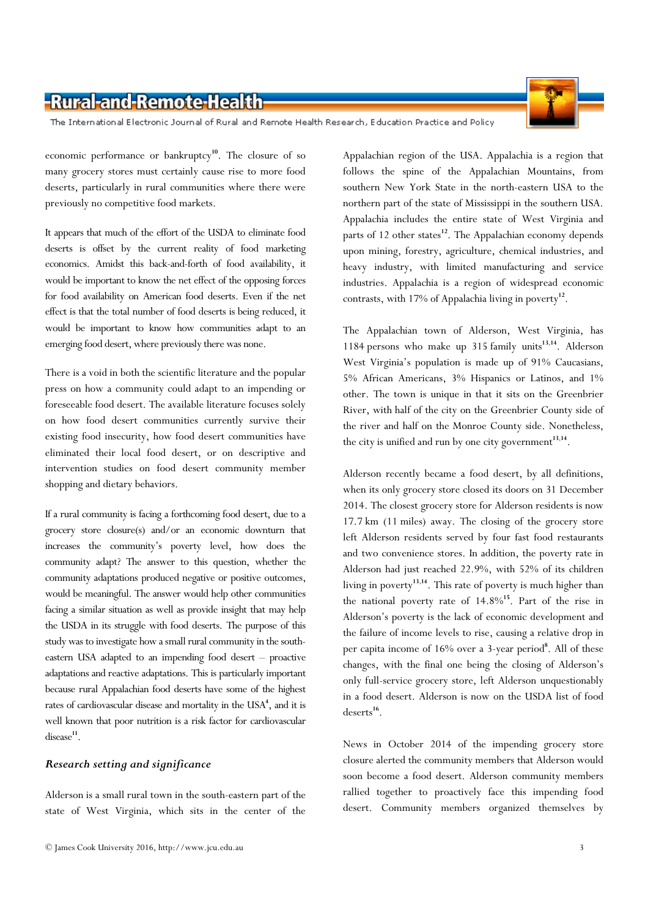The International Electronic Journal of Rural and Remote Health Research, Education Practice and Policy

economic performance or bankruptcy<sup>10</sup>. The closure of so many grocery stores must certainly cause rise to more food deserts, particularly in rural communities where there were previously no competitive food markets.

It appears that much of the effort of the USDA to eliminate food deserts is offset by the current reality of food marketing economics. Amidst this back-and-forth of food availability, it would be important to know the net effect of the opposing forces for food availability on American food deserts. Even if the net effect is that the total number of food deserts is being reduced, it would be important to know how communities adapt to an emerging food desert, where previously there was none.

There is a void in both the scientific literature and the popular press on how a community could adapt to an impending or foreseeable food desert. The available literature focuses solely on how food desert communities currently survive their existing food insecurity, how food desert communities have eliminated their local food desert, or on descriptive and intervention studies on food desert community member shopping and dietary behaviors.

If a rural community is facing a forthcoming food desert, due to a grocery store closure(s) and/or an economic downturn that increases the community's poverty level, how does the community adapt? The answer to this question, whether the community adaptations produced negative or positive outcomes, would be meaningful. The answer would help other communities facing a similar situation as well as provide insight that may help the USDA in its struggle with food deserts. The purpose of this study was to investigate how a small rural community in the southeastern USA adapted to an impending food desert – proactive adaptations and reactive adaptations. This is particularly important because rural Appalachian food deserts have some of the highest rates of cardiovascular disease and mortality in the USA<sup>4</sup>, and it is well known that poor nutrition is a risk factor for cardiovascular  $disease<sup>11</sup>$ .

#### Research setting and significance

Alderson is a small rural town in the south-eastern part of the state of West Virginia, which sits in the center of the Appalachian region of the USA. Appalachia is a region that follows the spine of the Appalachian Mountains, from southern New York State in the north-eastern USA to the northern part of the state of Mississippi in the southern USA. Appalachia includes the entire state of West Virginia and parts of 12 other states<sup>12</sup>. The Appalachian economy depends upon mining, forestry, agriculture, chemical industries, and heavy industry, with limited manufacturing and service industries. Appalachia is a region of widespread economic contrasts, with 17% of Appalachia living in poverty<sup>12</sup>.

The Appalachian town of Alderson, West Virginia, has 1184 persons who make up  $315$  family units<sup>13,14</sup>. Alderson West Virginia's population is made up of 91% Caucasians, 5% African Americans, 3% Hispanics or Latinos, and 1% other. The town is unique in that it sits on the Greenbrier River, with half of the city on the Greenbrier County side of the river and half on the Monroe County side. Nonetheless, the city is unified and run by one city government $^{13,14}$ .

Alderson recently became a food desert, by all definitions, when its only grocery store closed its doors on 31 December 2014. The closest grocery store for Alderson residents is now 17.7 km (11 miles) away. The closing of the grocery store left Alderson residents served by four fast food restaurants and two convenience stores. In addition, the poverty rate in Alderson had just reached 22.9%, with 52% of its children living in poverty<sup>13,14</sup>. This rate of poverty is much higher than the national poverty rate of  $14.8\%$ <sup>15</sup>. Part of the rise in Alderson's poverty is the lack of economic development and the failure of income levels to rise, causing a relative drop in per capita income of 16% over a 3-year period<sup>8</sup>. All of these changes, with the final one being the closing of Alderson's only full-service grocery store, left Alderson unquestionably in a food desert. Alderson is now on the USDA list of food  $deserts<sup>16</sup>.$ 

News in October 2014 of the impending grocery store closure alerted the community members that Alderson would soon become a food desert. Alderson community members rallied together to proactively face this impending food desert. Community members organized themselves by

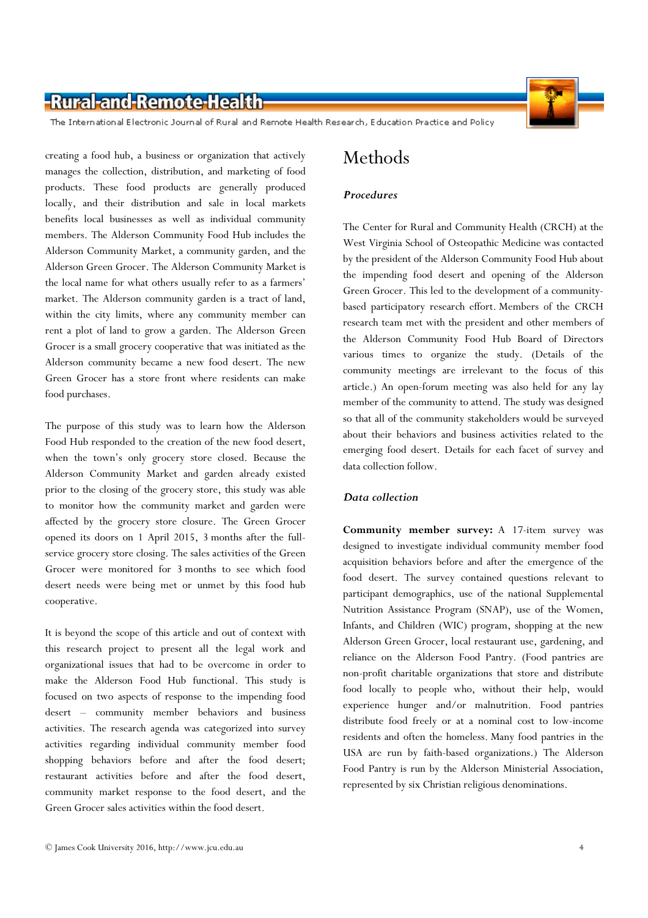

The International Electronic Journal of Rural and Remote Health Research, Education Practice and Policy

creating a food hub, a business or organization that actively manages the collection, distribution, and marketing of food products. These food products are generally produced locally, and their distribution and sale in local markets benefits local businesses as well as individual community members. The Alderson Community Food Hub includes the Alderson Community Market, a community garden, and the Alderson Green Grocer. The Alderson Community Market is the local name for what others usually refer to as a farmers' market. The Alderson community garden is a tract of land, within the city limits, where any community member can rent a plot of land to grow a garden. The Alderson Green Grocer is a small grocery cooperative that was initiated as the Alderson community became a new food desert. The new Green Grocer has a store front where residents can make food purchases.

The purpose of this study was to learn how the Alderson Food Hub responded to the creation of the new food desert, when the town's only grocery store closed. Because the Alderson Community Market and garden already existed prior to the closing of the grocery store, this study was able to monitor how the community market and garden were affected by the grocery store closure. The Green Grocer opened its doors on 1 April 2015, 3 months after the fullservice grocery store closing. The sales activities of the Green Grocer were monitored for 3 months to see which food desert needs were being met or unmet by this food hub cooperative.

It is beyond the scope of this article and out of context with this research project to present all the legal work and organizational issues that had to be overcome in order to make the Alderson Food Hub functional. This study is focused on two aspects of response to the impending food desert – community member behaviors and business activities. The research agenda was categorized into survey activities regarding individual community member food shopping behaviors before and after the food desert; restaurant activities before and after the food desert, community market response to the food desert, and the Green Grocer sales activities within the food desert.

#### **Procedures**

The Center for Rural and Community Health (CRCH) at the West Virginia School of Osteopathic Medicine was contacted by the president of the Alderson Community Food Hub about the impending food desert and opening of the Alderson Green Grocer. This led to the development of a communitybased participatory research effort. Members of the CRCH research team met with the president and other members of the Alderson Community Food Hub Board of Directors various times to organize the study. (Details of the community meetings are irrelevant to the focus of this article.) An open-forum meeting was also held for any lay member of the community to attend. The study was designed so that all of the community stakeholders would be surveyed about their behaviors and business activities related to the emerging food desert. Details for each facet of survey and data collection follow.

#### Data collection

Community member survey: A 17-item survey was designed to investigate individual community member food acquisition behaviors before and after the emergence of the food desert. The survey contained questions relevant to participant demographics, use of the national Supplemental Nutrition Assistance Program (SNAP), use of the Women, Infants, and Children (WIC) program, shopping at the new Alderson Green Grocer, local restaurant use, gardening, and reliance on the Alderson Food Pantry. (Food pantries are non-profit charitable organizations that store and distribute food locally to people who, without their help, would experience hunger and/or malnutrition. Food pantries distribute food freely or at a nominal cost to low-income residents and often the homeless. Many food pantries in the USA are run by faith-based organizations.) The Alderson Food Pantry is run by the Alderson Ministerial Association, represented by six Christian religious denominations.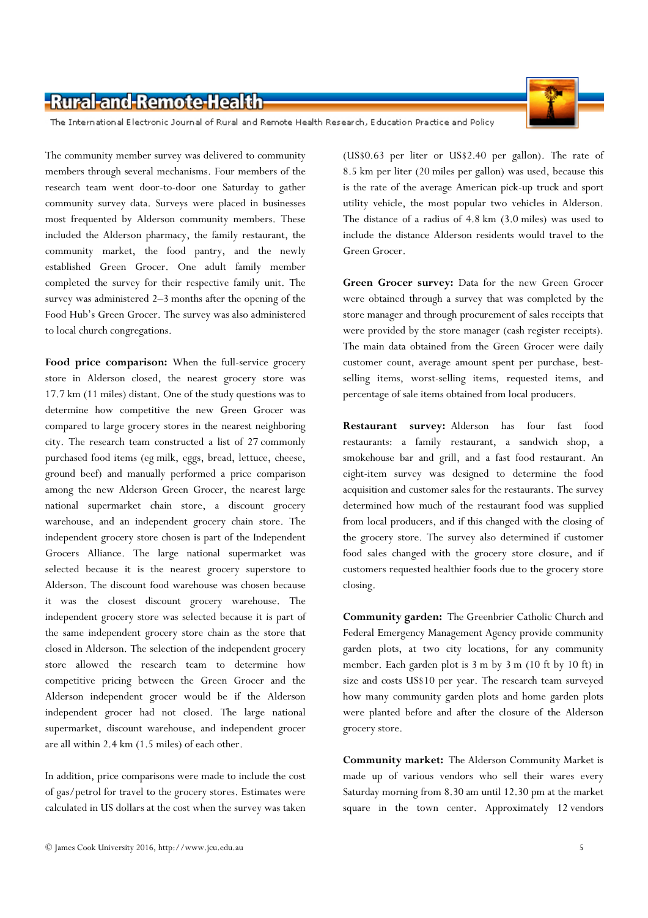The International Electronic Journal of Rural and Remote Health Research, Education Practice and Policy

The community member survey was delivered to community members through several mechanisms. Four members of the research team went door-to-door one Saturday to gather community survey data. Surveys were placed in businesses most frequented by Alderson community members. These included the Alderson pharmacy, the family restaurant, the community market, the food pantry, and the newly established Green Grocer. One adult family member completed the survey for their respective family unit. The survey was administered 2–3 months after the opening of the Food Hub's Green Grocer. The survey was also administered to local church congregations.

Food price comparison: When the full-service grocery store in Alderson closed, the nearest grocery store was 17.7 km (11 miles) distant. One of the study questions was to determine how competitive the new Green Grocer was compared to large grocery stores in the nearest neighboring city. The research team constructed a list of 27 commonly purchased food items (eg milk, eggs, bread, lettuce, cheese, ground beef) and manually performed a price comparison among the new Alderson Green Grocer, the nearest large national supermarket chain store, a discount grocery warehouse, and an independent grocery chain store. The independent grocery store chosen is part of the Independent Grocers Alliance. The large national supermarket was selected because it is the nearest grocery superstore to Alderson. The discount food warehouse was chosen because it was the closest discount grocery warehouse. The independent grocery store was selected because it is part of the same independent grocery store chain as the store that closed in Alderson. The selection of the independent grocery store allowed the research team to determine how competitive pricing between the Green Grocer and the Alderson independent grocer would be if the Alderson independent grocer had not closed. The large national supermarket, discount warehouse, and independent grocer are all within 2.4 km (1.5 miles) of each other.

In addition, price comparisons were made to include the cost of gas/petrol for travel to the grocery stores. Estimates were calculated in US dollars at the cost when the survey was taken

(US\$0.63 per liter or US\$2.40 per gallon). The rate of 8.5 km per liter (20 miles per gallon) was used, because this is the rate of the average American pick-up truck and sport utility vehicle, the most popular two vehicles in Alderson. The distance of a radius of 4.8 km (3.0 miles) was used to include the distance Alderson residents would travel to the Green Grocer.

Green Grocer survey: Data for the new Green Grocer were obtained through a survey that was completed by the store manager and through procurement of sales receipts that were provided by the store manager (cash register receipts). The main data obtained from the Green Grocer were daily customer count, average amount spent per purchase, bestselling items, worst-selling items, requested items, and percentage of sale items obtained from local producers.

Restaurant survey: Alderson has four fast food restaurants: a family restaurant, a sandwich shop, a smokehouse bar and grill, and a fast food restaurant. An eight-item survey was designed to determine the food acquisition and customer sales for the restaurants. The survey determined how much of the restaurant food was supplied from local producers, and if this changed with the closing of the grocery store. The survey also determined if customer food sales changed with the grocery store closure, and if customers requested healthier foods due to the grocery store closing.

Community garden: The Greenbrier Catholic Church and Federal Emergency Management Agency provide community garden plots, at two city locations, for any community member. Each garden plot is 3 m by 3 m (10 ft by 10 ft) in size and costs US\$10 per year. The research team surveyed how many community garden plots and home garden plots were planted before and after the closure of the Alderson grocery store.

Community market: The Alderson Community Market is made up of various vendors who sell their wares every Saturday morning from 8.30 am until 12.30 pm at the market square in the town center. Approximately 12 vendors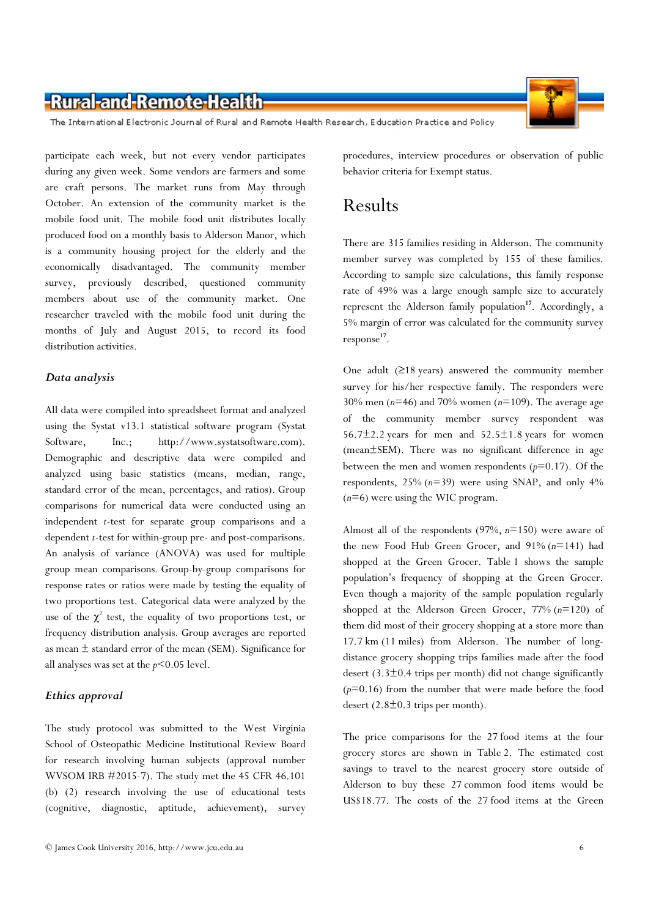The International Electronic Journal of Rural and Remote Health Research, Education Practice and Policy

participate each week, but not every vendor participates during any given week. Some vendors are farmers and some are craft persons. The market runs from May through October. An extension of the community market is the mobile food unit. The mobile food unit distributes locally produced food on a monthly basis to Alderson Manor, which is a community housing project for the elderly and the economically disadvantaged. The community member survey, previously described, questioned community members about use of the community market. One researcher traveled with the mobile food unit during the months of July and August 2015, to record its food distribution activities.

#### Data analysis

All data were compiled into spreadsheet format and analyzed using the Systat v13.1 statistical software program (Systat Software, Inc.; http://www.systatsoftware.com). Demographic and descriptive data were compiled and analyzed using basic statistics (means, median, range, standard error of the mean, percentages, and ratios). Group comparisons for numerical data were conducted using an independent t-test for separate group comparisons and a dependent t-test for within-group pre- and post-comparisons. An analysis of variance (ANOVA) was used for multiple group mean comparisons. Group-by-group comparisons for response rates or ratios were made by testing the equality of two proportions test. Categorical data were analyzed by the use of the  $\chi^2$  test, the equality of two proportions test, or frequency distribution analysis. Group averages are reported as mean ± standard error of the mean (SEM). Significance for all analyses was set at the  $p<0.05$  level.

#### Ethics approval

The study protocol was submitted to the West Virginia School of Osteopathic Medicine Institutional Review Board for research involving human subjects (approval number WVSOM IRB #2015-7). The study met the 45 CFR 46.101 (b) (2) research involving the use of educational tests (cognitive, diagnostic, aptitude, achievement), survey

procedures, interview procedures or observation of public behavior criteria for Exempt status.

### Results

There are 315 families residing in Alderson. The community member survey was completed by 155 of these families. According to sample size calculations, this family response rate of 49% was a large enough sample size to accurately represent the Alderson family population<sup>17</sup>. Accordingly, a 5% margin of error was calculated for the community survey response 17 .

One adult  $(≥18 \text{ years})$  answered the community member survey for his/her respective family. The responders were 30% men ( $n=46$ ) and 70% women ( $n=109$ ). The average age of the community member survey respondent was  $56.7\pm2.2$  years for men and  $52.5\pm1.8$  years for women (mean±SEM). There was no significant difference in age between the men and women respondents  $(p=0.17)$ . Of the respondents,  $25\%$  ( $n=39$ ) were using SNAP, and only  $4\%$  $(n=6)$  were using the WIC program.

Almost all of the respondents (97%,  $n=150$ ) were aware of the new Food Hub Green Grocer, and  $91\%$   $(n=141)$  had shopped at the Green Grocer. Table 1 shows the sample population's frequency of shopping at the Green Grocer. Even though a majority of the sample population regularly shopped at the Alderson Green Grocer,  $77\%$   $(n=120)$  of them did most of their grocery shopping at a store more than 17.7 km (11 miles) from Alderson. The number of longdistance grocery shopping trips families made after the food desert  $(3.3\pm0.4)$  trips per month) did not change significantly  $(p=0.16)$  from the number that were made before the food desert  $(2.8\pm0.3)$  trips per month).

The price comparisons for the 27 food items at the four grocery stores are shown in Table 2. The estimated cost savings to travel to the nearest grocery store outside of Alderson to buy these 27 common food items would be US\$18.77. The costs of the 27 food items at the Green

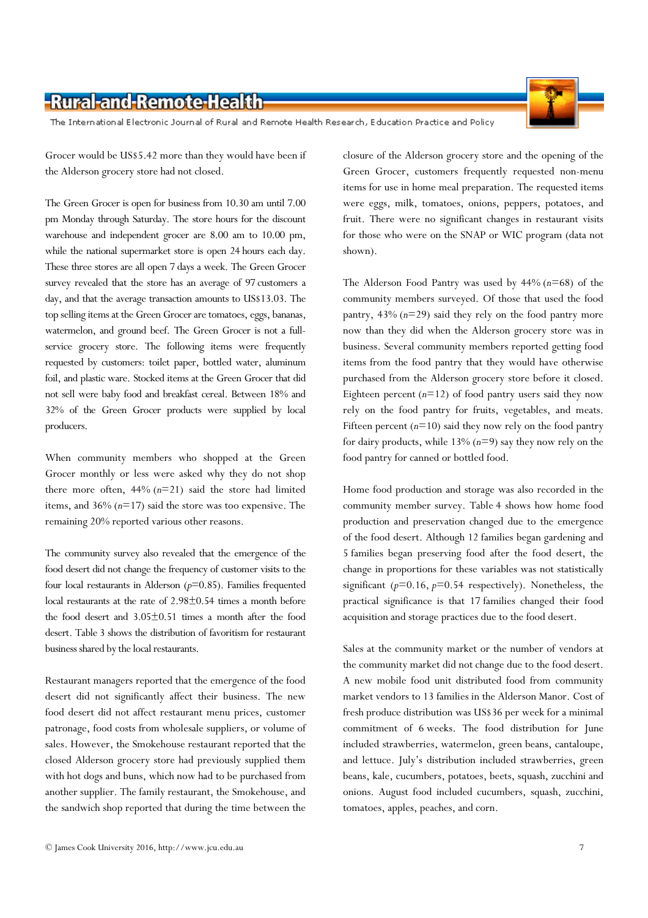The International Electronic Journal of Rural and Remote Health Research, Education Practice and Policy

Grocer would be US\$5.42 more than they would have been if the Alderson grocery store had not closed.

The Green Grocer is open for business from 10.30 am until 7.00 pm Monday through Saturday. The store hours for the discount warehouse and independent grocer are 8.00 am to 10.00 pm, while the national supermarket store is open 24 hours each day. These three stores are all open 7 days a week. The Green Grocer survey revealed that the store has an average of 97 customers a day, and that the average transaction amounts to US\$13.03. The top selling items at the Green Grocer are tomatoes, eggs, bananas, watermelon, and ground beef. The Green Grocer is not a fullservice grocery store. The following items were frequently requested by customers: toilet paper, bottled water, aluminum foil, and plastic ware. Stocked items at the Green Grocer that did not sell were baby food and breakfast cereal. Between 18% and 32% of the Green Grocer products were supplied by local producers.

When community members who shopped at the Green Grocer monthly or less were asked why they do not shop there more often,  $44\%$  ( $n=21$ ) said the store had limited items, and  $36\%$  ( $n=17$ ) said the store was too expensive. The remaining 20% reported various other reasons.

The community survey also revealed that the emergence of the food desert did not change the frequency of customer visits to the four local restaurants in Alderson  $(p=0.85)$ . Families frequented local restaurants at the rate of 2.98±0.54 times a month before the food desert and 3.05±0.51 times a month after the food desert. Table 3 shows the distribution of favoritism for restaurant business shared by the local restaurants.

Restaurant managers reported that the emergence of the food desert did not significantly affect their business. The new food desert did not affect restaurant menu prices, customer patronage, food costs from wholesale suppliers, or volume of sales. However, the Smokehouse restaurant reported that the closed Alderson grocery store had previously supplied them with hot dogs and buns, which now had to be purchased from another supplier. The family restaurant, the Smokehouse, and the sandwich shop reported that during the time between the

closure of the Alderson grocery store and the opening of the Green Grocer, customers frequently requested non-menu items for use in home meal preparation. The requested items were eggs, milk, tomatoes, onions, peppers, potatoes, and fruit. There were no significant changes in restaurant visits for those who were on the SNAP or WIC program (data not shown).

The Alderson Food Pantry was used by  $44\%$  ( $n=68$ ) of the community members surveyed. Of those that used the food pantry,  $43\%$  ( $n=29$ ) said they rely on the food pantry more now than they did when the Alderson grocery store was in business. Several community members reported getting food items from the food pantry that they would have otherwise purchased from the Alderson grocery store before it closed. Eighteen percent  $(n=12)$  of food pantry users said they now rely on the food pantry for fruits, vegetables, and meats. Fifteen percent  $(n=10)$  said they now rely on the food pantry for dairy products, while  $13\%$   $(n=9)$  say they now rely on the food pantry for canned or bottled food.

Home food production and storage was also recorded in the community member survey. Table 4 shows how home food production and preservation changed due to the emergence of the food desert. Although 12 families began gardening and 5 families began preserving food after the food desert, the change in proportions for these variables was not statistically significant ( $p=0.16$ ,  $p=0.54$  respectively). Nonetheless, the practical significance is that 17 families changed their food acquisition and storage practices due to the food desert.

Sales at the community market or the number of vendors at the community market did not change due to the food desert. A new mobile food unit distributed food from community market vendors to 13 families in the Alderson Manor. Cost of fresh produce distribution was US\$36 per week for a minimal commitment of 6 weeks. The food distribution for June included strawberries, watermelon, green beans, cantaloupe, and lettuce. July's distribution included strawberries, green beans, kale, cucumbers, potatoes, beets, squash, zucchini and onions. August food included cucumbers, squash, zucchini, tomatoes, apples, peaches, and corn.



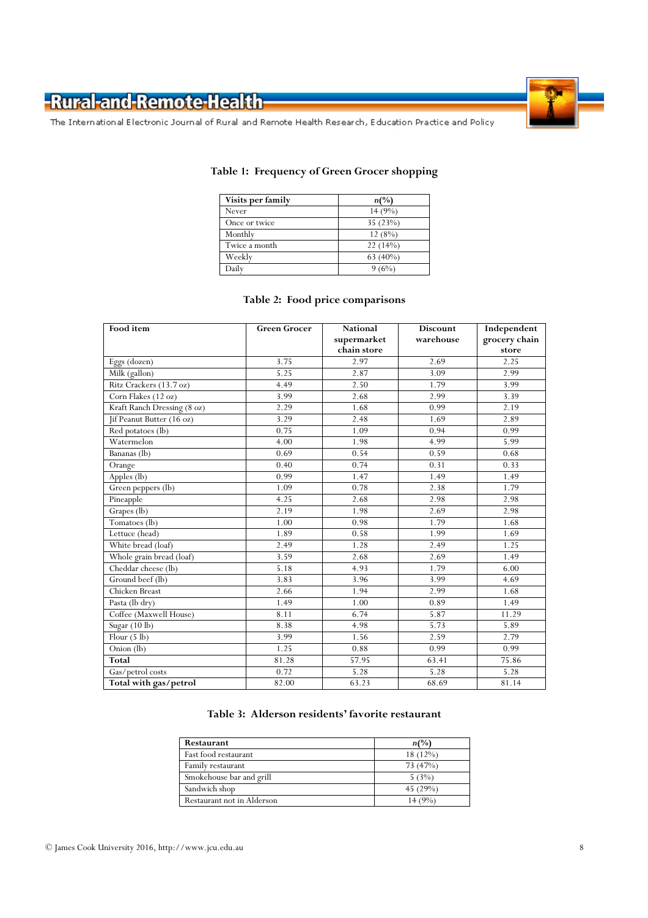

The International Electronic Journal of Rural and Remote Health Research, Education Practice and Policy

| Visits per family | $n\binom{0}{0}$ |
|-------------------|-----------------|
| Never             | 14(9%)          |
| Once or twice     | 35 (23%)        |
| Monthly           | 12(8%)          |
| Twice a month     | 22(14%)         |
| Weekly            | $63(40\%)$      |
| Daily             | 9(6%)           |

#### Table 1: Frequency of Green Grocer shopping

#### Table 2: Food price comparisons

| Food item                   | <b>Green Grocer</b> | <b>National</b> | <b>Discount</b> | Independent   |
|-----------------------------|---------------------|-----------------|-----------------|---------------|
|                             |                     | supermarket     | warehouse       | grocery chain |
|                             |                     | chain store     |                 | store         |
| Eggs (dozen)                | 3.75                | 2.97            | 2.69            | 2.25          |
| Milk (gallon)               | 5.25                | 2.87            | 3.09            | 2.99          |
| Ritz Crackers (13.7 oz)     | 4.49                | 2.50            | 1.79            | 3.99          |
| Corn Flakes (12 oz)         | 3.99                | 2.68            | 2.99            | 3.39          |
| Kraft Ranch Dressing (8 oz) | 2.29                | 1.68            | 0.99            | 2.19          |
| Jif Peanut Butter (16 oz)   | 3.29                | 2.48            | 1.69            | 2.89          |
| Red potatoes (lb)           | 0.75                | 1.09            | 0.94            | 0.99          |
| Watermelon                  | 4.00                | 1.98            | 4.99            | 5.99          |
| Bananas (lb)                | 0.69                | 0.54            | 0.59            | 0.68          |
| Orange                      | 0.40                | 0.74            | 0.31            | 0.33          |
| Apples (lb)                 | 0.99                | 1.47            | 1.49            | 1.49          |
| Green peppers (lb)          | 1.09                | 0.78            | 2.38            | 1.79          |
| Pineapple                   | 4.25                | 2.68            | 2.98            | 2.98          |
| Grapes (lb)                 | 2.19                | 1.98            | 2.69            | 2.98          |
| Tomatoes (lb)               | 1.00                | 0.98            | 1.79            | 1.68          |
| Lettuce (head)              | 1.89                | 0.58            | 1.99            | 1.69          |
| White bread (loaf)          | 2.49                | 1.28            | 2.49            | 1.25          |
| Whole grain bread (loaf)    | 3.59                | 2.68            | 2.69            | 1.49          |
| Cheddar cheese (lb)         | 5.18                | 4.93            | 1.79            | 6.00          |
| Ground beef (lb)            | 3.83                | 3.96            | 3.99            | 4.69          |
| Chicken Breast              | 2.66                | 1.94            | 2.99            | 1.68          |
| Pasta (lb dry)              | 1.49                | 1.00            | 0.89            | 1.49          |
| Coffee (Maxwell House)      | 8.11                | 6.74            | 5.87            | 11.29         |
| Sugar (10 lb)               | 8.38                | 4.98            | 5.73            | 5.89          |
| Flour $(5 \text{ lb})$      | 3.99                | 1.56            | 2.59            | 2.79          |
| Onion (lb)                  | 1.25                | 0.88            | 0.99            | 0.99          |
| <b>Total</b>                | 81.28               | 57.95           | 63.41           | 75.86         |
| Gas/petrol costs            | 0.72                | 5.28            | 5.28            | 5.28          |
| Total with gas/petrol       | 82.00               | 63.23           | 68.69           | 81.14         |

#### Table 3: Alderson residents' favorite restaurant

| Restaurant                 | $n\binom{0}{0}$ |
|----------------------------|-----------------|
| Fast food restaurant       | $18(12\%)$      |
| Family restaurant          | 73 (47%)        |
| Smokehouse bar and grill   | 5(3%)           |
| Sandwich shop              | 45 $(29%)$      |
| Restaurant not in Alderson | 14(9%)          |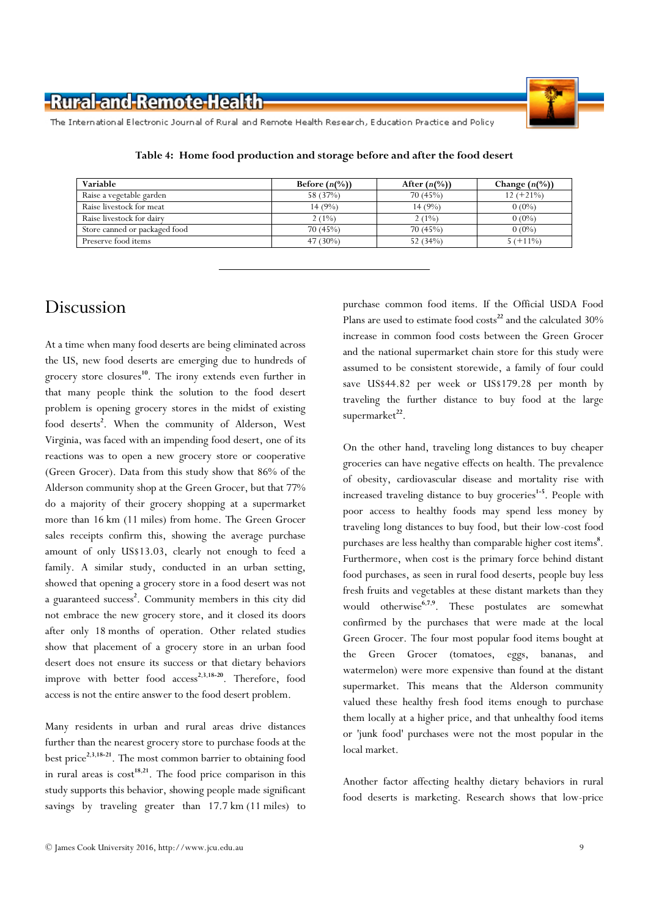

The International Electronic Journal of Rural and Remote Health Research, Education Practice and Policy

| Variable                      | Before $(n(\%))$ | After $(n\%)$ | Change $(n\frac{0}{0})$ |
|-------------------------------|------------------|---------------|-------------------------|
| Raise a vegetable garden      | 58 (37%)         | 70(45%)       | $12 (+21\%)$            |
| Raise livestock for meat      | 14(9%)           | 14(9%)        | $0(0\%)$                |
| Raise livestock for dairy     | $2(1\%)$         | $2(1\%)$      | $0(0\%)$                |
| Store canned or packaged food | 70(45%)          | 70(45%)       | $0(0\%)$                |
| Preserve food items           | 47 $(30\%)$      | 52 $(34%)$    | $5( +11\%)$             |

Table 4: Home food production and storage before and after the food desert

#### Discussion

At a time when many food deserts are being eliminated across the US, new food deserts are emerging due to hundreds of grocery store closures<sup>10</sup>. The irony extends even further in that many people think the solution to the food desert problem is opening grocery stores in the midst of existing food deserts<sup>2</sup>. When the community of Alderson, West Virginia, was faced with an impending food desert, one of its reactions was to open a new grocery store or cooperative (Green Grocer). Data from this study show that 86% of the Alderson community shop at the Green Grocer, but that 77% do a majority of their grocery shopping at a supermarket more than 16 km (11 miles) from home. The Green Grocer sales receipts confirm this, showing the average purchase amount of only US\$13.03, clearly not enough to feed a family. A similar study, conducted in an urban setting, showed that opening a grocery store in a food desert was not a guaranteed success<sup>2</sup>. Community members in this city did not embrace the new grocery store, and it closed its doors after only 18 months of operation. Other related studies show that placement of a grocery store in an urban food desert does not ensure its success or that dietary behaviors improve with better food  $access^{2,3,18-20}$ . Therefore, food access is not the entire answer to the food desert problem.

Many residents in urban and rural areas drive distances further than the nearest grocery store to purchase foods at the best price<sup>2,3,18-21</sup>. The most common barrier to obtaining food in rural areas is  $cost^{18,21}$ . The food price comparison in this study supports this behavior, showing people made significant savings by traveling greater than 17.7 km (11 miles) to

purchase common food items. If the Official USDA Food Plans are used to estimate food  $costs^{22}$  and the calculated  $30\%$ increase in common food costs between the Green Grocer and the national supermarket chain store for this study were assumed to be consistent storewide, a family of four could save US\$44.82 per week or US\$179.28 per month by traveling the further distance to buy food at the large supermarket<sup>22</sup>.

On the other hand, traveling long distances to buy cheaper groceries can have negative effects on health. The prevalence of obesity, cardiovascular disease and mortality rise with increased traveling distance to buy groceries<sup>1-5</sup>. People with poor access to healthy foods may spend less money by traveling long distances to buy food, but their low-cost food purchases are less healthy than comparable higher cost items<sup>8</sup>. Furthermore, when cost is the primary force behind distant food purchases, as seen in rural food deserts, people buy less fresh fruits and vegetables at these distant markets than they would otherwise<sup>6,7,9</sup>. These postulates are somewhat confirmed by the purchases that were made at the local Green Grocer. The four most popular food items bought at the Green Grocer (tomatoes, eggs, bananas, and watermelon) were more expensive than found at the distant supermarket. This means that the Alderson community valued these healthy fresh food items enough to purchase them locally at a higher price, and that unhealthy food items or 'junk food' purchases were not the most popular in the local market.

Another factor affecting healthy dietary behaviors in rural food deserts is marketing. Research shows that low-price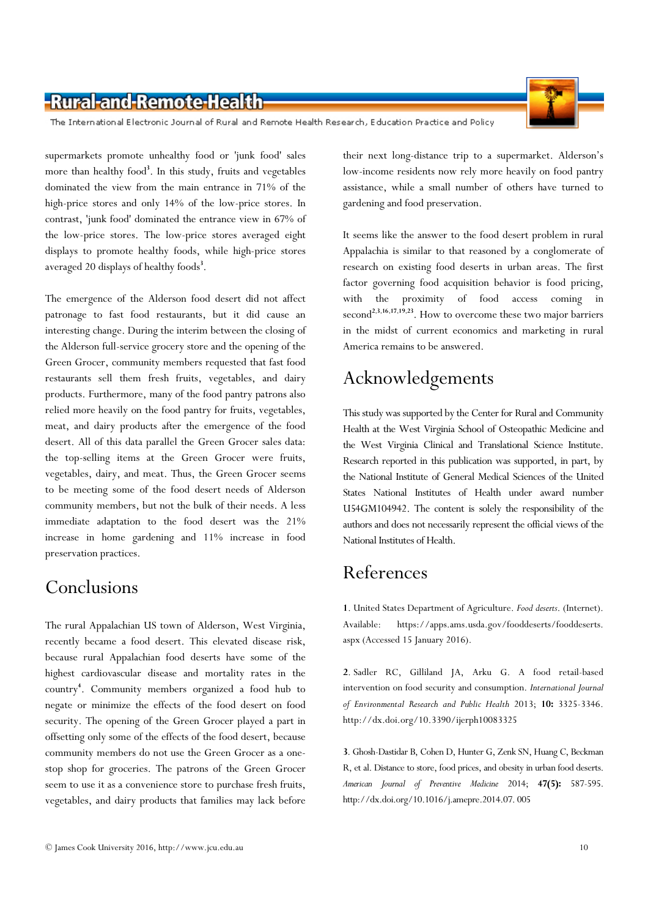

The International Electronic Journal of Rural and Remote Health Research, Education Practice and Policy

supermarkets promote unhealthy food or 'junk food' sales more than healthy food<sup>3</sup>. In this study, fruits and vegetables dominated the view from the main entrance in 71% of the high-price stores and only 14% of the low-price stores. In contrast, 'junk food' dominated the entrance view in 67% of the low-price stores. The low-price stores averaged eight displays to promote healthy foods, while high-price stores averaged 20 displays of healthy foods<sup>3</sup>.

The emergence of the Alderson food desert did not affect patronage to fast food restaurants, but it did cause an interesting change. During the interim between the closing of the Alderson full-service grocery store and the opening of the Green Grocer, community members requested that fast food restaurants sell them fresh fruits, vegetables, and dairy products. Furthermore, many of the food pantry patrons also relied more heavily on the food pantry for fruits, vegetables, meat, and dairy products after the emergence of the food desert. All of this data parallel the Green Grocer sales data: the top-selling items at the Green Grocer were fruits, vegetables, dairy, and meat. Thus, the Green Grocer seems to be meeting some of the food desert needs of Alderson community members, but not the bulk of their needs. A less immediate adaptation to the food desert was the 21% increase in home gardening and 11% increase in food preservation practices.

### Conclusions

The rural Appalachian US town of Alderson, West Virginia, recently became a food desert. This elevated disease risk, because rural Appalachian food deserts have some of the highest cardiovascular disease and mortality rates in the country<sup>4</sup> . Community members organized a food hub to negate or minimize the effects of the food desert on food security. The opening of the Green Grocer played a part in offsetting only some of the effects of the food desert, because community members do not use the Green Grocer as a onestop shop for groceries. The patrons of the Green Grocer seem to use it as a convenience store to purchase fresh fruits, vegetables, and dairy products that families may lack before

their next long-distance trip to a supermarket. Alderson's low-income residents now rely more heavily on food pantry assistance, while a small number of others have turned to gardening and food preservation.

It seems like the answer to the food desert problem in rural Appalachia is similar to that reasoned by a conglomerate of research on existing food deserts in urban areas. The first factor governing food acquisition behavior is food pricing, with the proximity of food access coming in second<sup>2,3,16,17,19,23</sup>. How to overcome these two major barriers in the midst of current economics and marketing in rural America remains to be answered.

# Acknowledgements

This study was supported by the Center for Rural and Community Health at the West Virginia School of Osteopathic Medicine and the West Virginia Clinical and Translational Science Institute. Research reported in this publication was supported, in part, by the National Institute of General Medical Sciences of the United States National Institutes of Health under award number U54GM104942. The content is solely the responsibility of the authors and does not necessarily represent the official views of the National Institutes of Health.

### References

1. United States Department of Agriculture. Food deserts. (Internet). Available: https://apps.ams.usda.gov/fooddeserts/fooddeserts. aspx (Accessed 15 January 2016).

2. Sadler RC, Gilliland JA, Arku G. A food retail-based intervention on food security and consumption. International Journal of Environmental Research and Public Health 2013; 10: 3325-3346. http://dx.doi.org/10.3390/ijerph10083325

3. Ghosh-Dastidar B, Cohen D, Hunter G, Zenk SN, Huang C, Beckman R, et al. Distance to store, food prices, and obesity in urban food deserts. American Journal of Preventive Medicine 2014; 47(5): 587-595. http://dx.doi.org/10.1016/j.amepre.2014.07. 005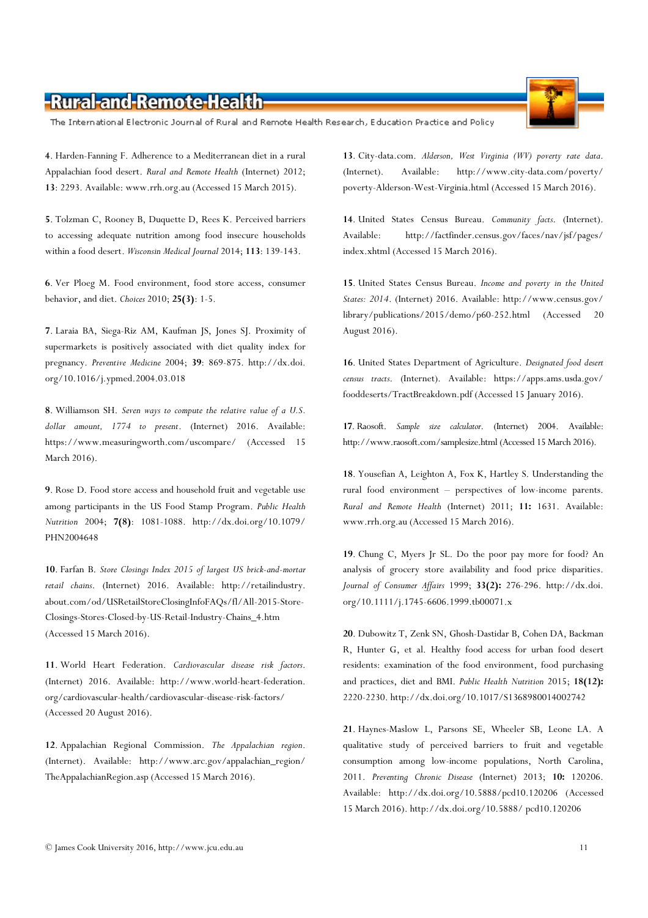The International Electronic Journal of Rural and Remote Health Research, Education Practice and Policy

4. Harden-Fanning F. Adherence to a Mediterranean diet in a rural Appalachian food desert. Rural and Remote Health (Internet) 2012; 13: 2293. Available: www.rrh.org.au (Accessed 15 March 2015).

5. Tolzman C, Rooney B, Duquette D, Rees K. Perceived barriers to accessing adequate nutrition among food insecure households within a food desert. Wisconsin Medical Journal 2014; 113: 139-143.

6. Ver Ploeg M. Food environment, food store access, consumer behavior, and diet. Choices 2010; 25(3): 1-5.

7. Laraia BA, Siega-Riz AM, Kaufman JS, Jones SJ. Proximity of supermarkets is positively associated with diet quality index for pregnancy. Preventive Medicine 2004; 39: 869-875. http://dx.doi. org/10.1016/j.ypmed.2004.03.018

8. Williamson SH. Seven ways to compute the relative value of a U.S. dollar amount, 1774 to present. (Internet) 2016. Available: https://www.measuringworth.com/uscompare/ (Accessed 15 March 2016).

9. Rose D. Food store access and household fruit and vegetable use among participants in the US Food Stamp Program. Public Health Nutrition 2004; 7(8): 1081-1088. http://dx.doi.org/10.1079/ PHN2004648

10. Farfan B. Store Closings Index 2015 of largest US brick-and-mortar retail chains. (Internet) 2016. Available: http://retailindustry. about.com/od/USRetailStoreClosingInfoFAQs/fl/All-2015-Store-Closings-Stores-Closed-by-US-Retail-Industry-Chains\_4.htm (Accessed 15 March 2016).

11. World Heart Federation. Cardiovascular disease risk factors. (Internet) 2016. Available: http://www.world-heart-federation. org/cardiovascular-health/cardiovascular-disease-risk-factors/ (Accessed 20 August 2016).

12. Appalachian Regional Commission. The Appalachian region. (Internet). Available: http://www.arc.gov/appalachian\_region/ TheAppalachianRegion.asp (Accessed 15 March 2016).

13. City-data.com. Alderson, West Virginia (WV) poverty rate data. (Internet). Available: http://www.city-data.com/poverty/ poverty-Alderson-West-Virginia.html (Accessed 15 March 2016).

14. United States Census Bureau. Community facts. (Internet). Available: http://factfinder.census.gov/faces/nav/jsf/pages/ index.xhtml (Accessed 15 March 2016).

15. United States Census Bureau. Income and poverty in the United States: 2014. (Internet) 2016. Available: http://www.census.gov/ library/publications/2015/demo/p60-252.html (Accessed 20 August 2016).

16. United States Department of Agriculture. Designated food desert census tracts. (Internet). Available: https://apps.ams.usda.gov/ fooddeserts/TractBreakdown.pdf (Accessed 15 January 2016).

17. Raosoft. Sample size calculator. (Internet) 2004. Available: http://www.raosoft.com/samplesize.html (Accessed 15 March 2016).

18. Yousefian A, Leighton A, Fox K, Hartley S. Understanding the rural food environment – perspectives of low-income parents. Rural and Remote Health (Internet) 2011; 11: 1631. Available: www.rrh.org.au (Accessed 15 March 2016).

19. Chung C, Myers Jr SL. Do the poor pay more for food? An analysis of grocery store availability and food price disparities. Journal of Consumer Affairs 1999; 33(2): 276-296. http://dx.doi. org/10.1111/j.1745-6606.1999.tb00071.x

20. Dubowitz T, Zenk SN, Ghosh-Dastidar B, Cohen DA, Backman R, Hunter G, et al. Healthy food access for urban food desert residents: examination of the food environment, food purchasing and practices, diet and BMI. Public Health Nutrition 2015; 18(12): 2220-2230. http://dx.doi.org/10.1017/S1368980014002742

21. Haynes-Maslow L, Parsons SE, Wheeler SB, Leone LA. A qualitative study of perceived barriers to fruit and vegetable consumption among low-income populations, North Carolina, 2011. Preventing Chronic Disease (Internet) 2013; 10: 120206. Available: http://dx.doi.org/10.5888/pcd10.120206 (Accessed 15 March 2016). http://dx.doi.org/10.5888/ pcd10.120206